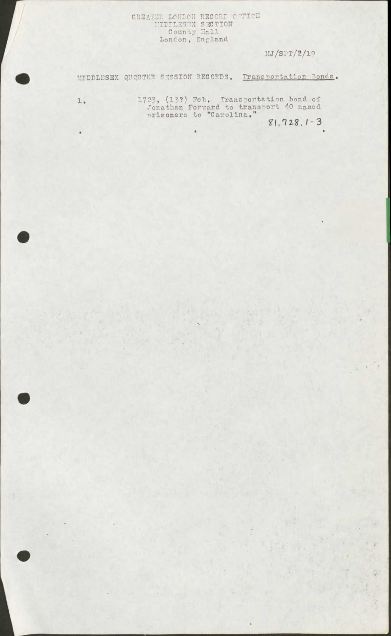## GREATER LONDON RECORD OFFICE<br>
HIDDLESEX SECTION<br>
County Hall<br>
London, England

MJ/SPT/2/19

MIDDLESEX QUQRTER SESSION RECORDS. Transportation Bonds.

1723, (13?) Feb. Transportation bond of Jonathan Forward to transport 40 named<br>mrisoners to "Carolina."

 $\mathbbm{1}$  .

 $\bullet$ 

 $81.728.1 - 3$  $\bullet$ 

Ministr

ç.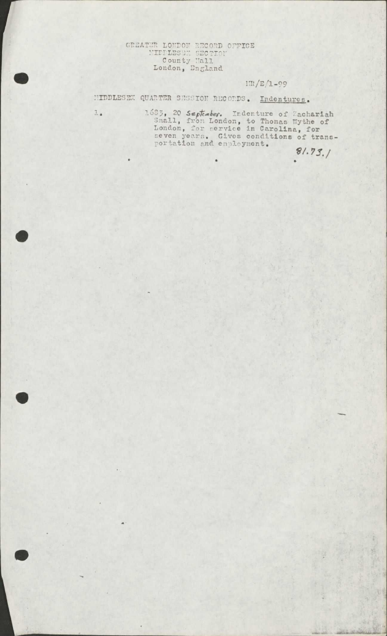# GREATER LONDON RECORD OFFICE<br>
HILLESSE SECTION<br>
County Hall<br>
London, England

l.

### $1\pi/E/1-99$

HIDDLESEX QUARTER SESSION RECORDS. Indentures.

1685, 20 September. Indenture of Zachariah<br>Snall, from London, to Thomas Wythe of<br>London, for service in Carolina, for<br>seven years. Gives conditions of trans-<br>portation and employment.

 $81.73.$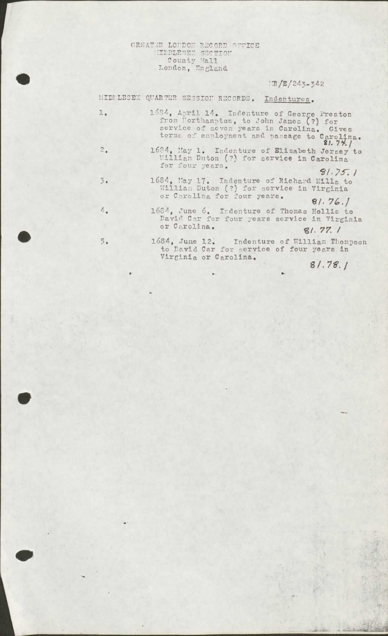# GREATER LOUDON RECORD OFFICE<br>
HIDDLESEN SECTION<br>
County Mall<br>
London, England

### $IR/E/243-342$

|                  | MIDPLESEX QUARTER SESSION RECORDS. Indentures.                                                                                                                                                 |
|------------------|------------------------------------------------------------------------------------------------------------------------------------------------------------------------------------------------|
| $l_{\bullet}$    | 1684, April 14. Indenture of George Preston<br>from Northampton, to John James (?) for<br>service of seven years in Carolina. Gives<br>terms of employment and passage to Carolina.<br>81.74.1 |
| 2.               | 1684, May 1. Indenture of Elizabeth Jersey to<br>William Duton (?) for service in Carolina<br>for four years.                                                                                  |
| $\overline{3}$ . | 81.75.1<br>1684, May 17. Indenture of Richard Mills to<br>William Duton (?) for service in Virginia<br>or Carolina for four years.<br>81.76.                                                   |
| 4.               | 1684, June 6. Indenture of Thomas Hollis to<br>David Car for four years service in Virginia<br>or Carolina.<br>81.77.1                                                                         |
| 5.               | 1684, June 12. Indenture of William Thompson<br>to David Car for service of four years in<br>Virginia or Carolina                                                                              |

 $81.78.1$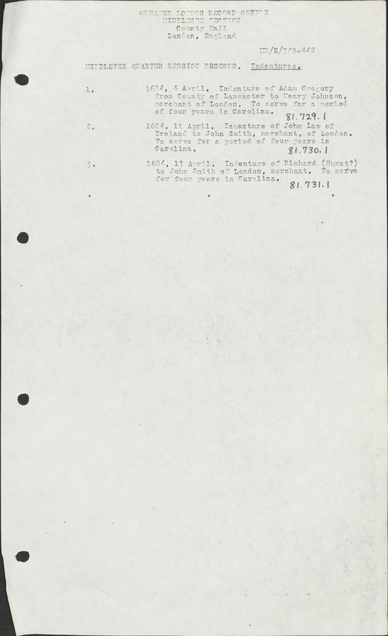GREATER LONDON RECORD OFFICE<br>HIDDLESTX TECTION<br>County Hall<br>London, England

 $Im/E/7.43 - 442$ 

### MIPDLESEX QUARTER SESSION PECORTS. Indentures.

Carolina.

1684, 4 April. Indenture of Adam Gregory<br>from County of Lancaster to Henry Johnson,<br>merchant of London. To serve for a period  $1$  . of four years in Carolina.  $81.729.1$ 1684, 11 April. Indenture of John Law of Ireland to John Smith, merchant, of London. To serve for a period of four years in  $\overline{2}$ .

 $81.730.1$ 

 $\overline{3}$ 

1684, 17 April. Indenture of Richard (Hurst?)<br>to John Snith of London, nerchant. To serve for four years in Carolina.  $81.731.1$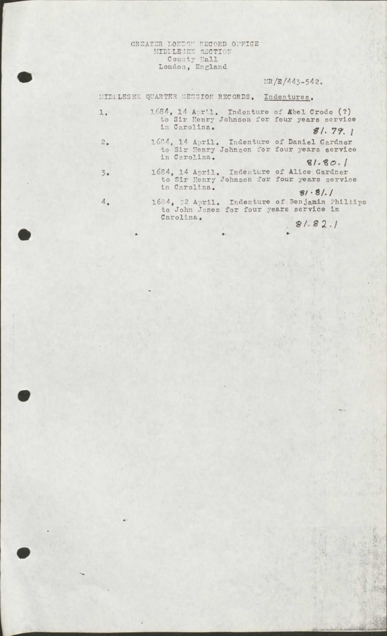### GREATER LONDON RECORD OFFICE<br>
MIDDLESEX SECTION<br>
County Hall<br>
London, England

### $1 \times / E / 443 - 542.$

MIDFLESEX QUARTER SESSION RECORDS. Indentures.

in Carolina.

 $\overline{3}$ .

 $4.$ 

1684, 14 April. Indenture of *Kbel Crode* (?)<br>to Sir Henry Johnson for four years service<br>in Carolina.<br> $d/79$ ı.  $81.79.1$ 

1684, 14 April. Indenture of Daniel Gardner<br>to Sir Henry Johnson for four years service  $2.$ in Carolina.

 $81.80.1$ 1684, 14 April. Indenture of Alice Gardner<br>to Sir Henry Johnson for four years service

 $81.81.1$ 1684, 22 April. Indenture of Benjamin Phillips<br>to John Jones for four years service in Carolina.

 $81.82.1$